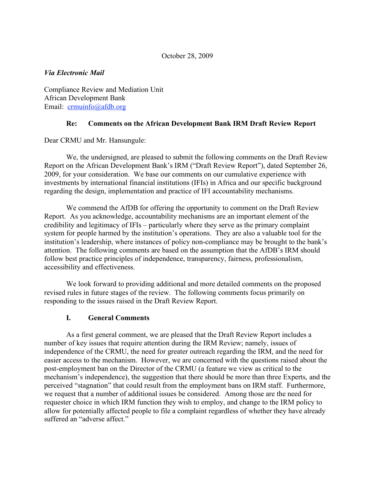### October 28, 2009

### *Via Electronic Mail*

Compliance Review and Mediation Unit African Development Bank Email: crmuinfo@afdb.org

### **Re: Comments on the African Development Bank IRM Draft Review Report**

Dear CRMU and Mr. Hansungule:

We, the undersigned, are pleased to submit the following comments on the Draft Review Report on the African Development Bank's IRM ("Draft Review Report"), dated September 26, 2009, for your consideration. We base our comments on our cumulative experience with investments by international financial institutions (IFIs) in Africa and our specific background regarding the design, implementation and practice of IFI accountability mechanisms.

We commend the AfDB for offering the opportunity to comment on the Draft Review Report. As you acknowledge, accountability mechanisms are an important element of the credibility and legitimacy of IFIs – particularly where they serve as the primary complaint system for people harmed by the institution's operations. They are also a valuable tool for the institution's leadership, where instances of policy non-compliance may be brought to the bank's attention. The following comments are based on the assumption that the AfDB's IRM should follow best practice principles of independence, transparency, fairness, professionalism, accessibility and effectiveness.

We look forward to providing additional and more detailed comments on the proposed revised rules in future stages of the review. The following comments focus primarily on responding to the issues raised in the Draft Review Report.

# **I. General Comments**

As a first general comment, we are pleased that the Draft Review Report includes a number of key issues that require attention during the IRM Review; namely, issues of independence of the CRMU, the need for greater outreach regarding the IRM, and the need for easier access to the mechanism. However, we are concerned with the questions raised about the post-employment ban on the Director of the CRMU (a feature we view as critical to the mechanism's independence), the suggestion that there should be more than three Experts, and the perceived "stagnation" that could result from the employment bans on IRM staff. Furthermore, we request that a number of additional issues be considered. Among those are the need for requester choice in which IRM function they wish to employ, and change to the IRM policy to allow for potentially affected people to file a complaint regardless of whether they have already suffered an "adverse affect."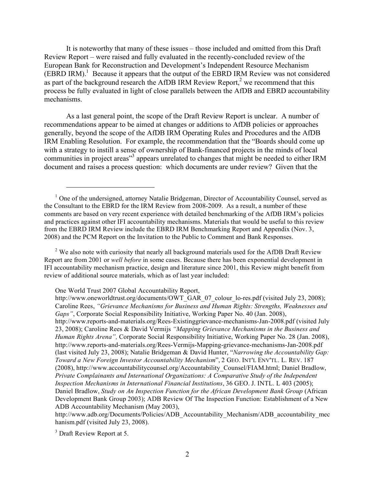It is noteworthy that many of these issues – those included and omitted from this Draft Review Report – were raised and fully evaluated in the recently-concluded review of the European Bank for Reconstruction and Development's Independent Resource Mechanism  $(EBRD \, IRM).$ <sup>1</sup> Because it appears that the output of the EBRD IRM Review was not considered as part of the background research the AfDB IRM Review Report, $2$  we recommend that this process be fully evaluated in light of close parallels between the AfDB and EBRD accountability mechanisms.

As a last general point, the scope of the Draft Review Report is unclear. A number of recommendations appear to be aimed at changes or additions to AfDB policies or approaches generally, beyond the scope of the AfDB IRM Operating Rules and Procedures and the AfDB IRM Enabling Resolution. For example, the recommendation that the "Boards should come up with a strategy to instill a sense of ownership of Bank-financed projects in the minds of local communities in project areas"<sup>3</sup> appears unrelated to changes that might be needed to either IRM document and raises a process question: which documents are under review? Given that the

 $2$  We also note with curiosity that nearly all background materials used for the AfDB Draft Review Report are from 2001 or *well before* in some cases. Because there has been exponential development in IFI accountability mechanism practice, design and literature since 2001, this Review might benefit from review of additional source materials, which as of last year included:

One World Trust 2007 Global Accountability Report,

http://www.adb.org/Documents/Policies/ADB\_Accountability\_Mechanism/ADB\_accountability\_mec hanism.pdf (visited July 23, 2008).

 $\overline{a}$ 

<sup>&</sup>lt;sup>1</sup> One of the undersigned, attorney Natalie Bridgeman, Director of Accountability Counsel, served as the Consultant to the EBRD for the IRM Review from 2008-2009. As a result, a number of these comments are based on very recent experience with detailed benchmarking of the AfDB IRM's policies and practices against other IFI accountability mechanisms. Materials that would be useful to this review from the EBRD IRM Review include the EBRD IRM Benchmarking Report and Appendix (Nov. 3, 2008) and the PCM Report on the Invitation to the Public to Comment and Bank Responses.

http://www.oneworldtrust.org/documents/OWT\_GAR\_07\_colour\_lo-res.pdf (visited July 23, 2008); Caroline Rees, *"Grievance Mechanisms for Business and Human Rights: Strengths, Weaknesses and Gaps"*, Corporate Social Responsibility Initiative, Working Paper No. 40 (Jan. 2008), http://www.reports-and-materials.org/Rees-Existinggrievance-mechanisms-Jan-2008.pdf (visited July 23, 2008); Caroline Rees & David Vermijs *"Mapping Grievance Mechanisms in the Business and Human Rights Arena",* Corporate Social Responsibility Initiative, Working Paper No. 28 (Jan. 2008), http://www.reports-and-materials.org/Rees-Vermijs-Mapping-grievance-mechanisms-Jan-2008.pdf (last visited July 23, 2008); Natalie Bridgeman & David Hunter, "*Narrowing the Accountability Gap: Toward a New Foreign Investor Accountability Mechanism*", 2 GEO. INT'L ENV'TL. L. REV. 187 (2008), http://www.accountabilitycounsel.org/Accountability\_Counsel/FIAM.html; Daniel Bradlow, *Private Complainants and International Organizations: A Comparative Study of the Independent Inspection Mechanisms in International Financial Institutions*, 36 GEO. J. INTL. L 403 (2005); Daniel Bradlow, *Study on An Inspection Function for the African Development Bank Group* (African Development Bank Group 2003); ADB Review Of The Inspection Function: Establishment of a New ADB Accountability Mechanism (May 2003),

<sup>&</sup>lt;sup>3</sup> Draft Review Report at 5.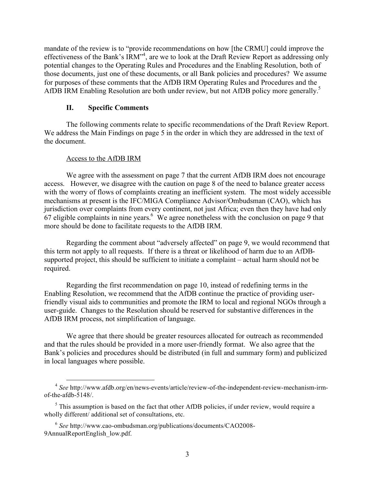mandate of the review is to "provide recommendations on how [the CRMU] could improve the effectiveness of the Bank's IRM"<sup>4</sup>, are we to look at the Draft Review Report as addressing only potential changes to the Operating Rules and Procedures and the Enabling Resolution, both of those documents, just one of these documents, or all Bank policies and procedures? We assume for purposes of these comments that the AfDB IRM Operating Rules and Procedures and the AfDB IRM Enabling Resolution are both under review, but not AfDB policy more generally.<sup>5</sup>

### **II. Specific Comments**

The following comments relate to specific recommendations of the Draft Review Report. We address the Main Findings on page 5 in the order in which they are addressed in the text of the document.

#### Access to the AfDB IRM

We agree with the assessment on page 7 that the current AfDB IRM does not encourage access. However, we disagree with the caution on page 8 of the need to balance greater access with the worry of flows of complaints creating an inefficient system. The most widely accessible mechanisms at present is the IFC/MIGA Compliance Advisor/Ombudsman (CAO), which has jurisdiction over complaints from every continent, not just Africa; even then they have had only  $67$  eligible complaints in nine years. We agree nonetheless with the conclusion on page 9 that more should be done to facilitate requests to the AfDB IRM.

Regarding the comment about "adversely affected" on page 9, we would recommend that this term not apply to all requests. If there is a threat or likelihood of harm due to an AfDBsupported project, this should be sufficient to initiate a complaint – actual harm should not be required.

Regarding the first recommendation on page 10, instead of redefining terms in the Enabling Resolution, we recommend that the AfDB continue the practice of providing userfriendly visual aids to communities and promote the IRM to local and regional NGOs through a user-guide. Changes to the Resolution should be reserved for substantive differences in the AfDB IRM process, not simplification of language.

We agree that there should be greater resources allocated for outreach as recommended and that the rules should be provided in a more user-friendly format. We also agree that the Bank's policies and procedures should be distributed (in full and summary form) and publicized in local languages where possible.

 <sup>4</sup> *See* http://www.afdb.org/en/news-events/article/review-of-the-independent-review-mechanism-irmof-the-afdb-5148/.

 $<sup>5</sup>$  This assumption is based on the fact that other AfDB policies, if under review, would require a</sup> wholly different/ additional set of consultations, etc.

<sup>6</sup> *See* http://www.cao-ombudsman.org/publications/documents/CAO2008- 9AnnualReportEnglish\_low.pdf.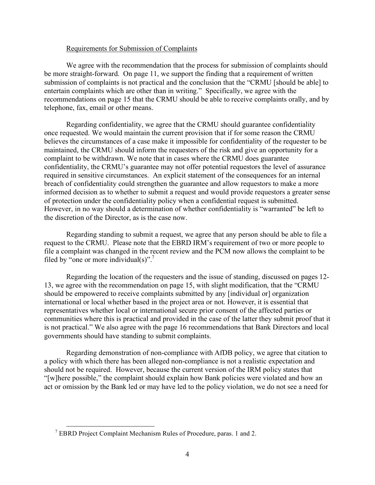#### Requirements for Submission of Complaints

We agree with the recommendation that the process for submission of complaints should be more straight-forward. On page 11, we support the finding that a requirement of written submission of complaints is not practical and the conclusion that the "CRMU [should be able] to entertain complaints which are other than in writing." Specifically, we agree with the recommendations on page 15 that the CRMU should be able to receive complaints orally, and by telephone, fax, email or other means.

Regarding confidentiality, we agree that the CRMU should guarantee confidentiality once requested. We would maintain the current provision that if for some reason the CRMU believes the circumstances of a case make it impossible for confidentiality of the requester to be maintained, the CRMU should inform the requesters of the risk and give an opportunity for a complaint to be withdrawn. We note that in cases where the CRMU does guarantee confidentiality, the CRMU's guarantee may not offer potential requestors the level of assurance required in sensitive circumstances. An explicit statement of the consequences for an internal breach of confidentiality could strengthen the guarantee and allow requestors to make a more informed decision as to whether to submit a request and would provide requestors a greater sense of protection under the confidentiality policy when a confidential request is submitted. However, in no way should a determination of whether confidentiality is "warranted" be left to the discretion of the Director, as is the case now.

Regarding standing to submit a request, we agree that any person should be able to file a request to the CRMU. Please note that the EBRD IRM's requirement of two or more people to file a complaint was changed in the recent review and the PCM now allows the complaint to be filed by "one or more individual(s)".<sup>7</sup>

Regarding the location of the requesters and the issue of standing, discussed on pages 12- 13, we agree with the recommendation on page 15, with slight modification, that the "CRMU should be empowered to receive complaints submitted by any [individual or] organization international or local whether based in the project area or not. However, it is essential that representatives whether local or international secure prior consent of the affected parties or communities where this is practical and provided in the case of the latter they submit proof that it is not practical." We also agree with the page 16 recommendations that Bank Directors and local governments should have standing to submit complaints.

Regarding demonstration of non-compliance with AfDB policy, we agree that citation to a policy with which there has been alleged non-compliance is not a realistic expectation and should not be required. However, because the current version of the IRM policy states that "[w]here possible," the complaint should explain how Bank policies were violated and how an act or omission by the Bank led or may have led to the policy violation, we do not see a need for

 <sup>7</sup> EBRD Project Complaint Mechanism Rules of Procedure, paras. 1 and 2.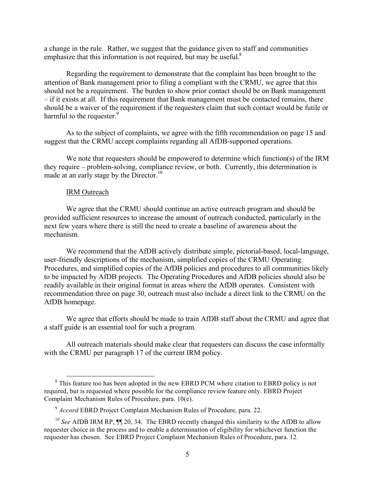a change in the rule. Rather, we suggest that the guidance given to staff and communities emphasize that this information is not required, but may be useful.<sup>8</sup>

Regarding the requirement to demonstrate that the complaint has been brought to the attention of Bank management prior to filing a compliant with the CRMU, we agree that this should not be a requirement. The burden to show prior contact should be on Bank management – if it exists at all. If this requirement that Bank management must be contacted remains, there should be a waiver of the requirement if the requesters claim that such contact would be futile or harmful to the requester.<sup>9</sup>

As to the subject of complaints, we agree with the fifth recommendation on page 15 and suggest that the CRMU accept complaints regarding all AfDB-supported operations.

We note that requesters should be empowered to determine which function(s) of the IRM they require – problem-solving, compliance review, or both. Currently, this determination is made at an early stage by the Director.<sup>10</sup>

#### IRM Outreach

We agree that the CRMU should continue an active outreach program and should be provided sufficient resources to increase the amount of outreach conducted, particularly in the next few years where there is still the need to create a baseline of awareness about the mechanism.

We recommend that the AfDB actively distribute simple, pictorial-based, local-language, user-friendly descriptions of the mechanism, simplified copies of the CRMU Operating Procedures, and simplified copies of the AfDB policies and procedures to all communities likely to be impacted by AfDB projects. The Operating Procedures and AfDB policies should also be readily available in their original format in areas where the AfDB operates. Consistent with recommendation three on page 30, outreach must also include a direct link to the CRMU on the AfDB homepage.

We agree that efforts should be made to train AfDB staff about the CRMU and agree that a staff guide is an essential tool for such a program.

All outreach materials should make clear that requesters can discuss the case informally with the CRMU per paragraph 17 of the current IRM policy.

<sup>&</sup>lt;sup>8</sup> This feature too has been adopted in the new EBRD PCM where citation to EBRD policy is not required, but is requested where possible for the compliance review feature only. EBRD Project Complaint Mechanism Rules of Procedure, para. 10(e).

<sup>9</sup> *Accord* EBRD Project Complaint Mechanism Rules of Procedure, para. 22.

<sup>&</sup>lt;sup>10</sup> See AfDB IRM RP,  $\P$  20, 34. The EBRD recently changed this similarity to the AfDB to allow requester choice in the process and to enable a determination of eligibility for whichever function the requester has chosen. See EBRD Project Complaint Mechanism Rules of Procedure, para. 12.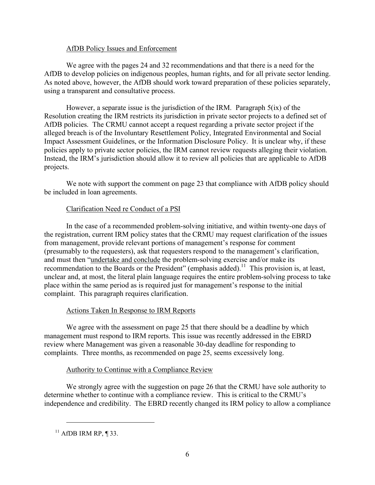### AfDB Policy Issues and Enforcement

We agree with the pages 24 and 32 recommendations and that there is a need for the AfDB to develop policies on indigenous peoples, human rights, and for all private sector lending. As noted above, however, the AfDB should work toward preparation of these policies separately, using a transparent and consultative process.

However, a separate issue is the jurisdiction of the IRM. Paragraph 5(ix) of the Resolution creating the IRM restricts its jurisdiction in private sector projects to a defined set of AfDB policies. The CRMU cannot accept a request regarding a private sector project if the alleged breach is of the Involuntary Resettlement Policy, Integrated Environmental and Social Impact Assessment Guidelines, or the Information Disclosure Policy. It is unclear why, if these policies apply to private sector policies, the IRM cannot review requests alleging their violation. Instead, the IRM's jurisdiction should allow it to review all policies that are applicable to AfDB projects.

We note with support the comment on page 23 that compliance with AfDB policy should be included in loan agreements.

# Clarification Need re Conduct of a PSI

In the case of a recommended problem-solving initiative, and within twenty-one days of the registration, current IRM policy states that the CRMU may request clarification of the issues from management, provide relevant portions of management's response for comment (presumably to the requesters), ask that requesters respond to the management's clarification, and must then "undertake and conclude the problem-solving exercise and/or make its recommendation to the Boards or the President" (emphasis added).<sup>11</sup> This provision is, at least, unclear and, at most, the literal plain language requires the entire problem-solving process to take place within the same period as is required just for management's response to the initial complaint. This paragraph requires clarification.

# Actions Taken In Response to IRM Reports

We agree with the assessment on page 25 that there should be a deadline by which management must respond to IRM reports. This issue was recently addressed in the EBRD review where Management was given a reasonable 30-day deadline for responding to complaints. Three months, as recommended on page 25, seems excessively long.

### Authority to Continue with a Compliance Review

We strongly agree with the suggestion on page 26 that the CRMU have sole authority to determine whether to continue with a compliance review. This is critical to the CRMU's independence and credibility. The EBRD recently changed its IRM policy to allow a compliance

 $\overline{a}$ 

 $11$  AfDB IRM RP, ¶ 33.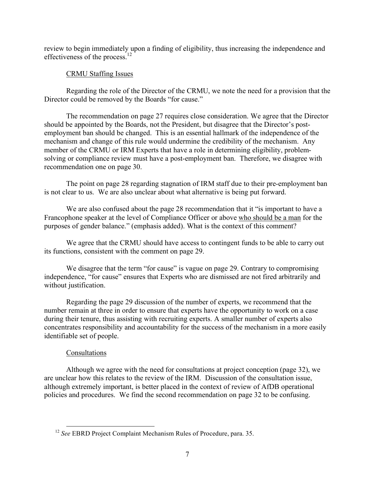review to begin immediately upon a finding of eligibility, thus increasing the independence and effectiveness of the process.<sup>12</sup>

# CRMU Staffing Issues

Regarding the role of the Director of the CRMU, we note the need for a provision that the Director could be removed by the Boards "for cause."

The recommendation on page 27 requires close consideration. We agree that the Director should be appointed by the Boards, not the President, but disagree that the Director's postemployment ban should be changed. This is an essential hallmark of the independence of the mechanism and change of this rule would undermine the credibility of the mechanism. Any member of the CRMU or IRM Experts that have a role in determining eligibility, problemsolving or compliance review must have a post-employment ban. Therefore, we disagree with recommendation one on page 30.

The point on page 28 regarding stagnation of IRM staff due to their pre-employment ban is not clear to us. We are also unclear about what alternative is being put forward.

We are also confused about the page 28 recommendation that it "is important to have a Francophone speaker at the level of Compliance Officer or above who should be a man for the purposes of gender balance." (emphasis added). What is the context of this comment?

We agree that the CRMU should have access to contingent funds to be able to carry out its functions, consistent with the comment on page 29.

We disagree that the term "for cause" is vague on page 29. Contrary to compromising independence, "for cause" ensures that Experts who are dismissed are not fired arbitrarily and without justification.

Regarding the page 29 discussion of the number of experts, we recommend that the number remain at three in order to ensure that experts have the opportunity to work on a case during their tenure, thus assisting with recruiting experts. A smaller number of experts also concentrates responsibility and accountability for the success of the mechanism in a more easily identifiable set of people.

# Consultations

Although we agree with the need for consultations at project conception (page 32), we are unclear how this relates to the review of the IRM. Discussion of the consultation issue, although extremely important, is better placed in the context of review of AfDB operational policies and procedures. We find the second recommendation on page 32 to be confusing.

 <sup>12</sup> *See* EBRD Project Complaint Mechanism Rules of Procedure, para. 35.